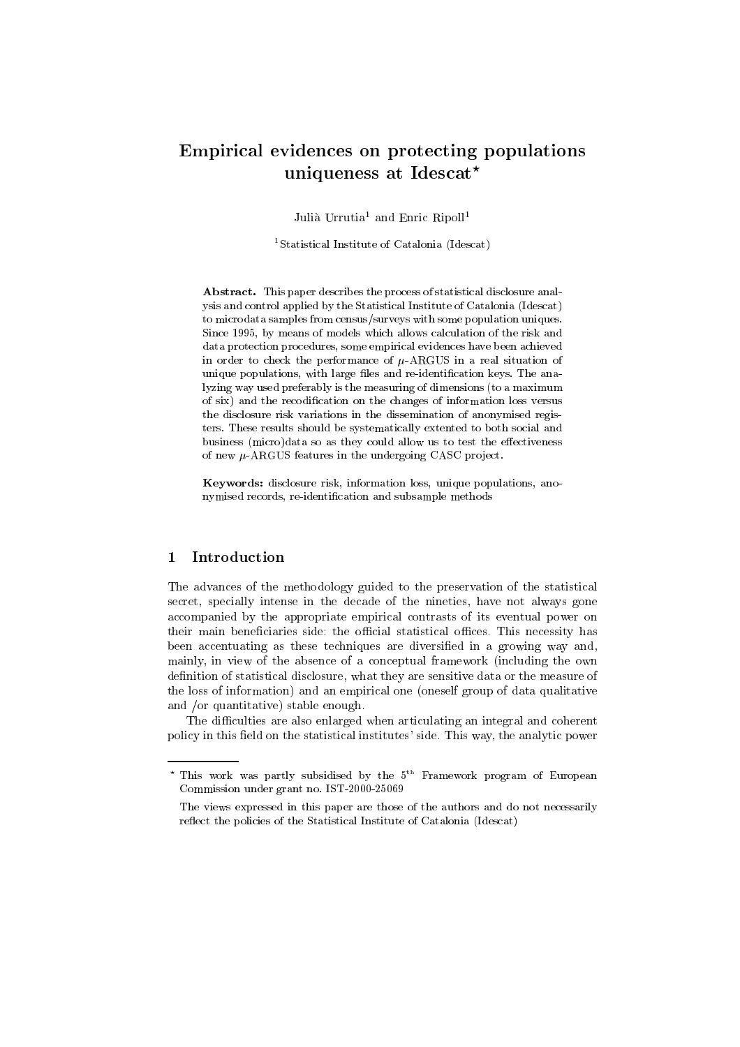# Empirical evidences on protecting populations uniqueness at Idescat?

Julià Urrutia<sup>1</sup> and Enric Ripoll<sup>1</sup>

1Statistical Institute of Catalonia (Idescat)

Abstract. This paper describes the process of statistical disclosure analysis and control applied by the Statistical Institute of Catalonia (Idescat) to microdata samples from census/surveys with some population uniques. Since 1995, by means of models which allows calculation of the risk and data protection procedures, some empirical evidences have been achieved in order to check the performance of  $\mu$ -ARGUS in a real situation of unique populations, with large files and re-identification keys. The analyzing way used preferably is the measuring of dimensions (to a maximum of six) and the recodication on the changes of information loss versus the disclosure risk variations in the dissemination of anonymised registers. These results should be systematically extented to both social and business (micro)data so as they could allow us to test the effectiveness of new  $\mu$ -ARGUS features in the undergoing CASC project.

Keywords: disclosure risk, information loss, unique populations, ano nymised records, re-identication and subsample methods

#### **Introduction**  $\mathbf 1$

The advances of the methodology guided to the preservation of the statistical secret, specially intense in the decade of the nineties, have not always gone accompanied by the appropriate empirical contrasts of its eventual power on their main beneficiaries side: the official statistical offices. This necessity has been accentuating as these techniques are diversied in a growing way and, mainly, in view of the absence of a conceptual framework (including the own definition of statistical disclosure, what they are sensitive data or the measure of the loss of information) and an empirical one (oneself group of data qualitative and /or quantitative) stable enough.

The difficulties are also enlarged when articulating an integral and coherent policy in this field on the statistical institutes' side. This way, the analytic power

<sup>.</sup> This work was partly subsidised by the 5." Framework program of European to the Things was partly subsidised Commission under grant no. IST-2000-25069

The views expressed in this paper are those of the authors and do not necessarily reflect the policies of the Statistical Institute of Catalonia (Idescat)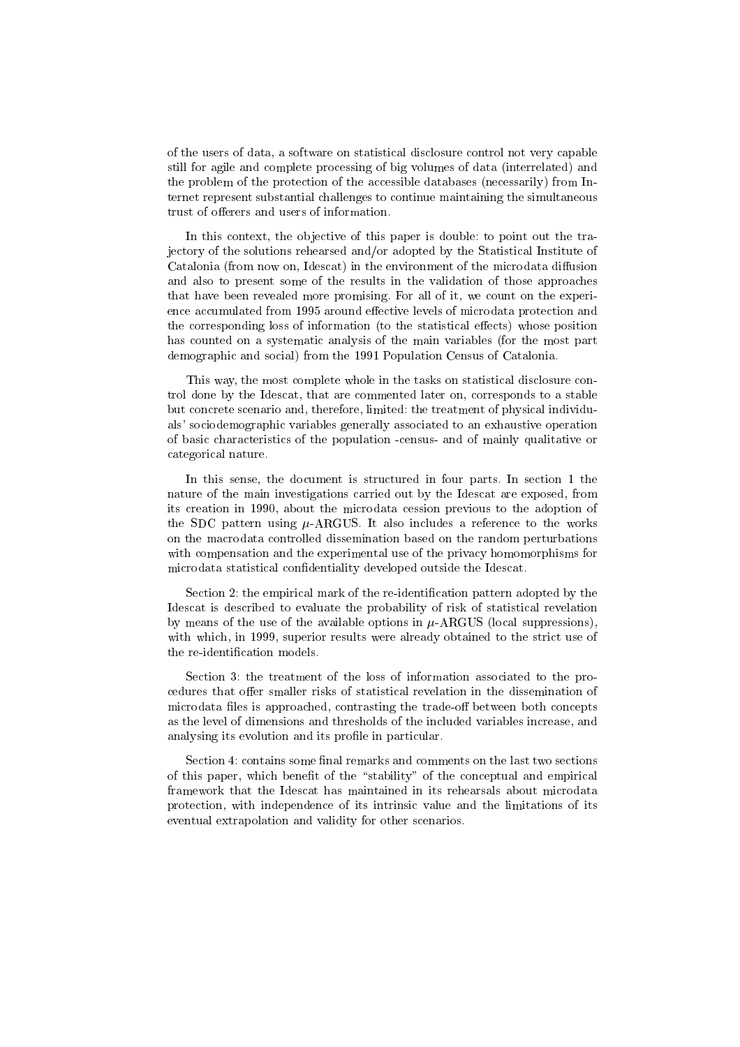of the users of data, a software on statistical disclosure control not very capable still for agile and complete processing of big volumes of data (interrelated) and the problem of the protection of the accessible databases (necessarily) from Internet represent substantial challenges to continue maintaining the simultaneous trust of offerers and users of information.

In this context, the objective of this paper is double: to point out the trajectory of the solutions rehearsed and/or adopted by the Statistical Institute of Catalonia (from now on, Idescat) in the environment of the microdata diffusion and also to present some of the results in the validation of those approaches that have been revealed more promising. For all of it, we count on the experience accumulated from 1995 around effective levels of microdata protection and the corresponding loss of information (to the statistical effects) whose position has counted on a systematic analysis of the main variables (for the most part demographic and social) from the 1991 Population Census of Catalonia.

This way, the most complete whole in the tasks on statistical disclosure control done by the Idescat, that are commented later on, corresponds to a stable but concrete scenario and, therefore, limited: the treatment of physical individuals' sociodemographic variables generally associated to an exhaustive operation of basic characteristics of the population -census- and of mainly qualitative or categorical nature.

In this sense, the document is structured in four parts. In section 1 the nature of the main investigations carried out by the Idescat are exposed, from its creation in 1990, about the microdata cession previous to the adoption of the SDC pattern using  $\mu$ -ARGUS. It also includes a reference to the works on the macrodata controlled dissemination based on the random perturbations with compensation and the experimental use of the privacy homomorphisms for microdata statistical condentiality developed outside the Idescat.

Section 2: the empirical mark of the re-identication pattern adopted by the Idescat is described to evaluate the probability of risk of statistical revelation by means of the use of the available options in  $\mu$ -ARGUS (local suppressions), with which, in 1999, superior results were already obtained to the strict use of the re-identication models.

Section 3: the treatment of the loss of information associated to the procedures that offer smaller risks of statistical revelation in the dissemination of microdata files is approached, contrasting the trade-off between both concepts as the level of dimensions and thresholds of the included variables increase, and analysing its evolution and its profile in particular.

Section 4: contains some final remarks and comments on the last two sections of this paper, which benefit of the "stability" of the conceptual and empirical framework that the Idescat has maintained in its rehearsals about microdata protection, with independence of its intrinsic value and the limitations of its eventual extrapolation and validity for other scenarios.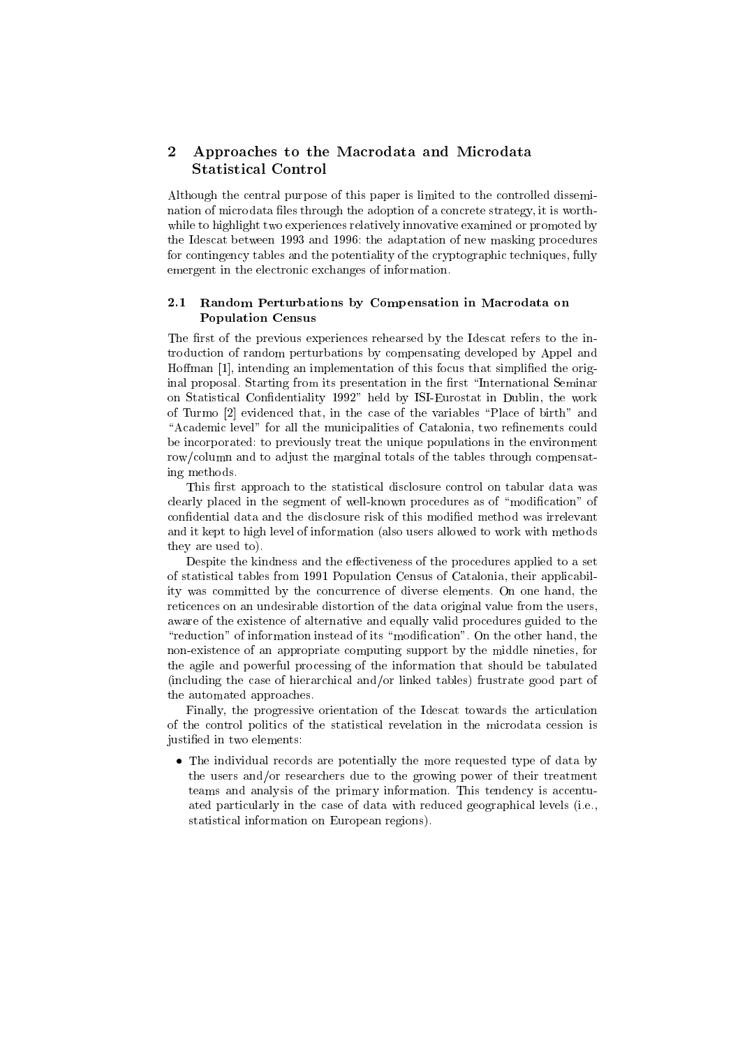## 2 Approaches to the Macrodata and Microdata Statistical Control

Although the central purpose of this paper is limited to the controlled dissemination of microdata files through the adoption of a concrete strategy, it is worthwhile to highlight two experiences relatively innovative examined or promoted by the Idescat between 1993 and 1996: the adaptation of new masking procedures for contingency tables and the potentiality of the cryptographic techniques, fully emergent in the electronic exchanges of information.

#### $2.1$ Random Perturbations by Compensation in Macrodata on Population Census

The first of the previous experiences rehearsed by the Idescat refers to the introduction of random perturbations by compensating developed by Appel and Hoffman [1], intending an implementation of this focus that simplified the original proposal. Starting from its presentation in the first "International Seminar on Statistical Confidentiality 1992" held by ISI-Eurostat in Dublin, the work of Turmo [2] evidenced that, in the case of the variables \Place of birth" and "Academic level" for all the municipalities of Catalonia, two refinements could be incorporated: to previously treat the unique populations in the environment row/column and to adjust the marginal totals of the tables through compensating methods.

This first approach to the statistical disclosure control on tabular data was clearly placed in the segment of well-known procedures as of "modification" of condential data and the disclosure risk of this modied method was irrelevant and it kept to high level of information (also users allowed to work with methods they are used to).

Despite the kindness and the effectiveness of the procedures applied to a set of statistical tables from 1991 Population Census of Catalonia, their applicability was committed by the concurrence of diverse elements. On one hand, the reticences on an undesirable distortion of the data original value from the users, aware of the existence of alternative and equally valid procedures guided to the "reduction" of information instead of its "modification". On the other hand, the non-existence of an appropriate computing support by the middle nineties, for the agile and powerful processing of the information that should be tabulated (including the case of hierarchical and/or linked tables) frustrate good part of the automated approaches.

Finally, the progressive orientation of the Idescat towards the articulation of the control politics of the statistical revelation in the microdata cession is justied in two elements:

 The individual records are potentially the more requested type of data by the users and/or researchers due to the growing power of their treatment teams and analysis of the primary information. This tendency is accentuated particularly in the case of data with reduced geographical levels (i.e., statistical information on European regions).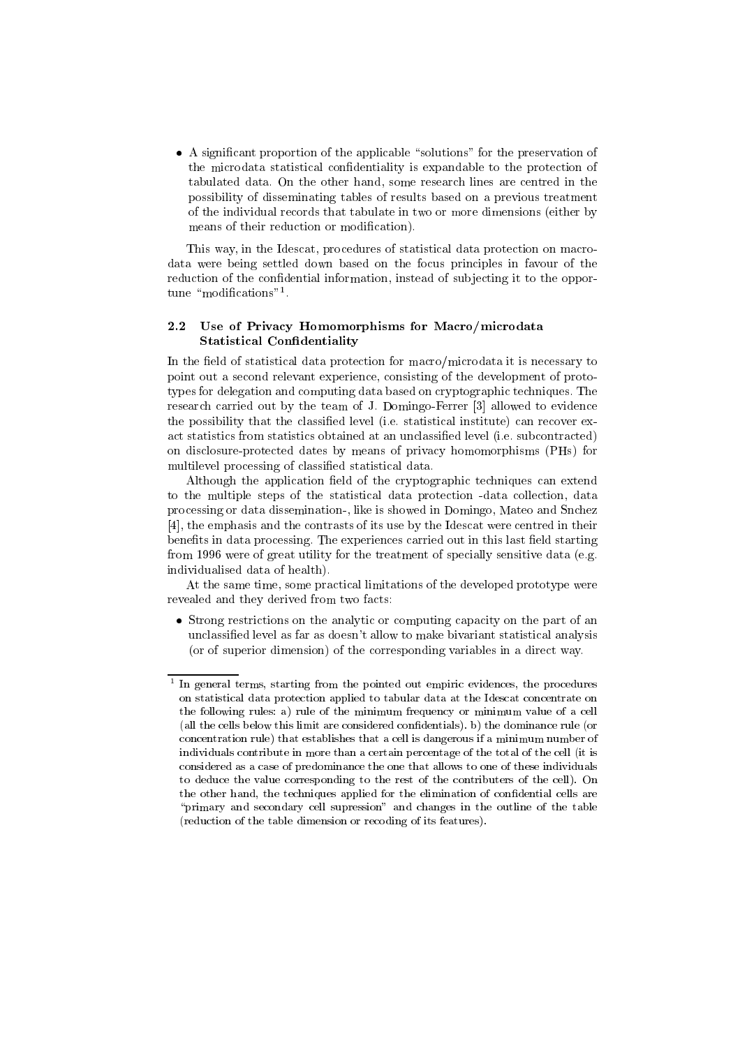A signicant proportion of the applicable \solutions" for the preservation of the microdata statistical condentiality is expandable to the protection of tabulated data. On the other hand, some research lines are centred in the possibility of disseminating tables of results based on a previous treatment of the individual records that tabulate in two or more dimensions (either by means of their reduction or modification).

This way, in the Idescat, procedures of statistical data protection on macrodata were being settled down based on the focus principles in favour of the reduction of the confidential information, instead of subjecting it to the opportune modifications .

#### $2.2$ Use of Privacy Homomorphisms for Macro/microdata Statistical Confidentiality

In the field of statistical data protection for macro/microdata it is necessary to point out a second relevant experience, consisting of the development of prototypes for delegation and computing data based on cryptographic techniques. The research carried out by the team of J. Domingo-Ferrer [3] allowed to evidence the possibility that the classified level (i.e. statistical institute) can recover exact statistics from statistics obtained at an unclassied level (i.e. subcontracted) on disclosure-protected dates by means of privacy homomorphisms (PHs) for multilevel processing of classied statistical data.

Although the application field of the cryptographic techniques can extend to the multiple steps of the statistical data protection -data collection, data processing or data dissemination-, like is showed in Domingo, Mateo and Snchez [4], the emphasis and the contrasts of its use by the Idescat were centred in their benefits in data processing. The experiences carried out in this last field starting from 1996 were of great utility for the treatment of specially sensitive data (e.g. individualised data of health).

At the same time, some practical limitations of the developed prototype were revealed and they derived from two facts:

 Strong restrictions on the analytic or computing capacity on the part of an unclassied level as far as doesn't allow to make bivariant statistical analysis (or of superior dimension) of the corresponding variables in a direct way.

tin general terms, starting from the pointed out empiric evidences, the procedures on statistical data protection applied to tabular data at the Idescat concentrate on the following rules: a) rule of the minimum frequency or minimum value of a cell (all the cells below this limit are considered condentials). b) the dominance rule (or concentration rule) that establishes that a cell is dangerous if a minimum number of individuals contribute in more than a certain percentage of the total of the cell (it is considered as a case of predominance the one that allows to one of these individuals to deduce the value corresponding to the rest of the contributers of the cell). On the other hand, the techniques applied for the elimination of confidential cells are "primary and secondary cell supression" and changes in the outline of the table (reduction of the table dimension or recoding of its features).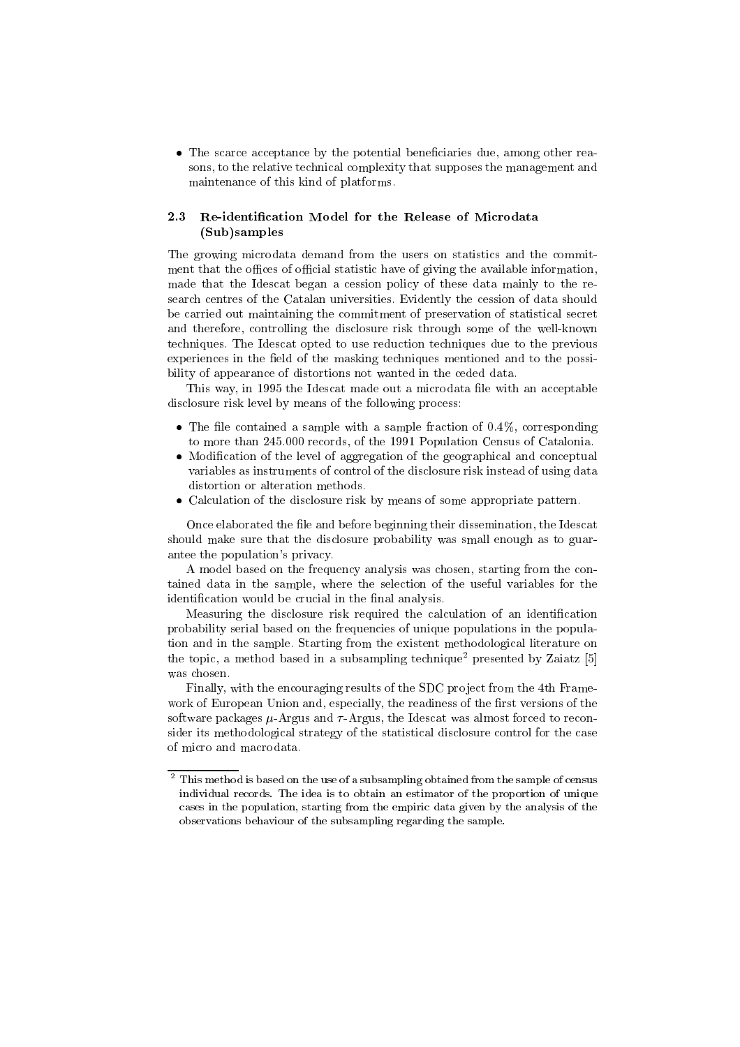The scarce acceptance by the potential beneciaries due, among other reasons, to the relative technical complexity that supposes the management and maintenance of this kind of platforms.

### 2.3 Re-identication Model for the Release of Microdata (Sub)samples

The growing microdata demand from the users on statistics and the commitment that the offices of official statistic have of giving the available information, made that the Idescat began a cession policy of these data mainly to the research centres of the Catalan universities. Evidently the cession of data should be carried out maintaining the commitment of preservation of statistical secret and therefore, controlling the disclosure risk through some of the well-known techniques. The Idescat opted to use reduction techniques due to the previous experiences in the field of the masking techniques mentioned and to the possibility of appearance of distortions not wanted in the ceded data.

This way, in 1995 the Idescat made out a microdata file with an acceptable disclosure risk level by means of the following process:

- $\mathcal{L}$  and contained a sample with a sample fraction of  $\mathcal{L}$  ,  $\mathcal{L}$  ,  $\mathcal{L}$ to more than 245.000 records, of the 1991 Population Census of Catalonia.
- . The level of aggregation of the geographical and conceptual and conceptual and conceptual and conceptual and conceptual and conceptual and conceptual and conceptual and conceptual and conceptual and conceptual and conce variables as instruments of control of the disclosure risk instead of using data distortion or alteration methods.
- Calculation of the disclosure risk by means of some appropriate pattern.

Once elaborated the file and before beginning their dissemination, the Idescat should make sure that the disclosure probability was small enough as to guarantee the population's privacy.

A model based on the frequency analysis was chosen, starting from the contained data in the sample, where the selection of the useful variables for the identification would be crucial in the final analysis.

Measuring the disclosure risk required the calculation of an identification probability serial based on the frequencies of unique populations in the population and in the sample. Starting from the existent methodological literature on the topic, a method based in a subsampling technique<sup>2</sup> presented by Zaiatz [5] was chosen.

Finally, with the encouraging results of the SDC project from the 4th Framework of European Union and, especially, the readiness of the first versions of the software packages  $\mu$ -Argus and  $\tau$ -Argus, the Idescat was almost forced to reconsider its methodological strategy of the statistical disclosure control for the case of micro and macrodata.

<sup>2</sup> This method is based on the use of a subsampling obtained from the sample of census individual records. The idea is to obtain an estimator of the proportion of unique cases in the population, starting from the empiric data given by the analysis of the observations behaviour of the subsampling regarding the sample.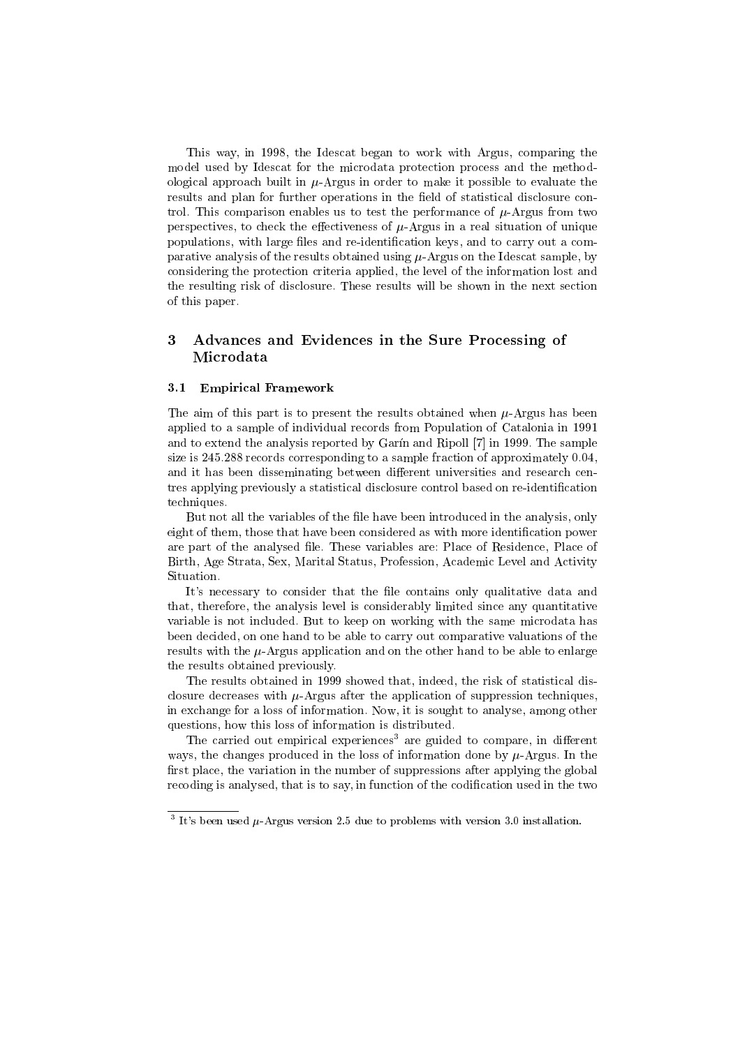This way, in 1998, the Idescat began to work with Argus, comparing the model used by Idescat for the microdata protection process and the methodological approach built in  $\mu$ -Argus in order to make it possible to evaluate the results and plan for further operations in the field of statistical disclosure control. This comparison enables us to test the performance of  $\mu$ -Argus from two perspectives, to check the effectiveness of  $\mu$ -Argus in a real situation of unique populations, with large files and re-identification keys, and to carry out a comparative analysis of the results obtained using  $\mu$ -Argus on the Idescat sample, by considering the protection criteria applied, the level of the information lost and the resulting risk of disclosure. These results will be shown in the next section of this paper.

## 3 Advances and Evidences in the Sure Processing of Microdata

### 3.1 Empirical Framework

The aim of this part is to present the results obtained when  $\mu$ -Argus has been applied to a sample of individual records from Population of Catalonia in 1991 and to extend the analysis reported by Garin and Ripoll [7] in 1999. The sample size is 245.288 records corresponding to a sample fraction of approximately 0.04, and it has been disseminating between different universities and research centres applying previously a statistical disclosure control based on re-identification techniques.

But not all the variables of the file have been introduced in the analysis, only eight of them, those that have been considered as with more identification power are part of the analysed file. These variables are: Place of Residence, Place of Birth, Age Strata, Sex, Marital Status, Profession, Academic Level and Activity Situation.

It's necessary to consider that the file contains only qualitative data and that, therefore, the analysis level is considerably limited since any quantitative variable is not included. But to keep on working with the same microdata has been decided, on one hand to be able to carry out comparative valuations of the results with the  $\mu$ -Argus application and on the other hand to be able to enlarge the results obtained previously.

The results obtained in 1999 showed that, indeed, the risk of statistical disclosure decreases with  $\mu$ -Argus after the application of suppression techniques, in exchange for a loss of information. Now, it is sought to analyse, among other questions, how this loss of information is distributed.

The carried out empirical experiences<sup>3</sup> are guided to compare, in different ways, the changes produced in the loss of information done by  $\mu$ -Argus. In the first place, the variation in the number of suppressions after applying the global recoding is analysed, that is to say, in function of the codification used in the two

 $\degree$  It's been used  $\mu$ -Argus version 2.5 due to problems with version 3.0 installation.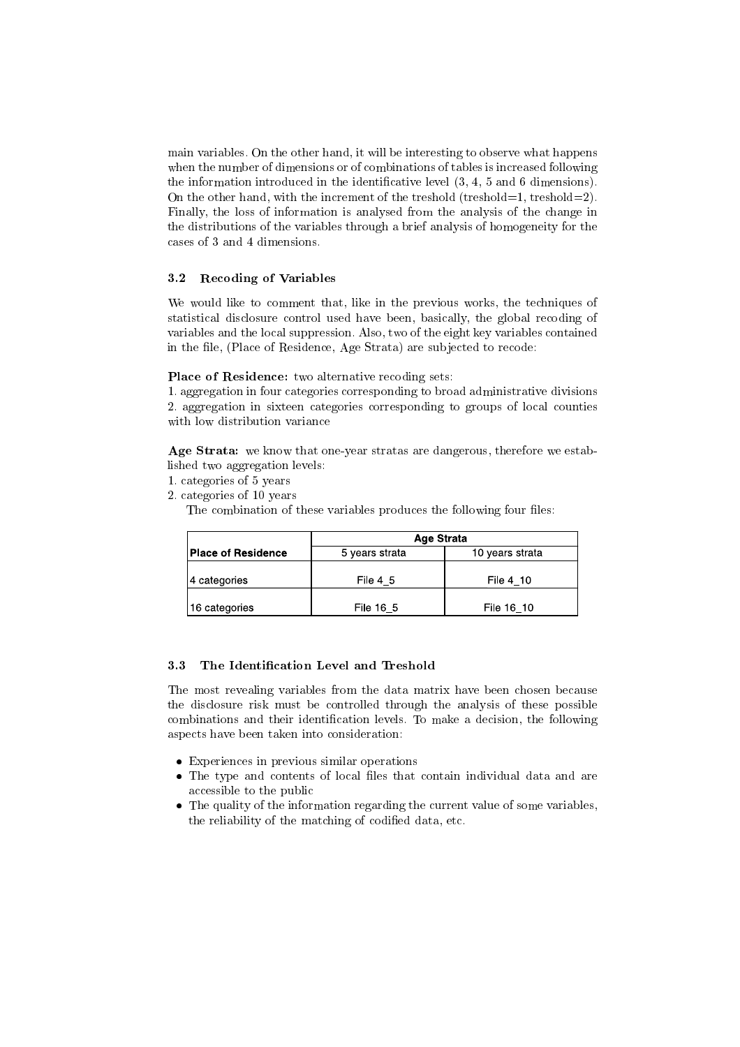main variables. On the other hand, it will be interesting to observe what happens when the number of dimensions or of combinations of tables is increased following the information introduced in the identificative level  $(3, 4, 5, 5, 6)$  dimensions). On the other hand, with the increment of the treshold (treshold=1, treshold=2). Finally, the loss of information is analysed from the analysis of the change in the distributions of the variables through a brief analysis of homogeneity for the cases of 3 and 4 dimensions.

### 3.2 Recoding of Variables

We would like to comment that, like in the previous works, the techniques of statistical disclosure control used have been, basically, the global recoding of variables and the local suppression. Also, two of the eight key variables contained in the file, (Place of Residence, Age Strata) are subjected to recode:

Place of Residence: two alternative recoding sets:

1. aggregation in four categories corresponding to broad administrative divisions 2. aggregation in sixteen categories corresponding to groups of local counties with low distribution variance

Age Strata: we know that one-year stratas are dangerous, therefore we established two aggregation levels:

- 1. categories of 5 years
- 2. categories of 10 years

The combination of these variables produces the following four files:

|                           | <b>Age Strata</b>                 |            |  |  |  |
|---------------------------|-----------------------------------|------------|--|--|--|
| <b>Place of Residence</b> | 10 years strata<br>5 vears strata |            |  |  |  |
| 14 categories             | File 4 5                          | File 4 10  |  |  |  |
| 16 categories             | File 16 5                         | File 16 10 |  |  |  |

#### 3.3 The Identication Level and Treshold

The most revealing variables from the data matrix have been chosen because the disclosure risk must be controlled through the analysis of these possible combinations and their identication levels. To make a decision, the following aspects have been taken into consideration:

- Experiences in previous similar operations
- The type and contents of local les that contain individual data and are accessible to the public
- The quality of the information regarding the current value of some variables, the reliability of the matching of codified data, etc.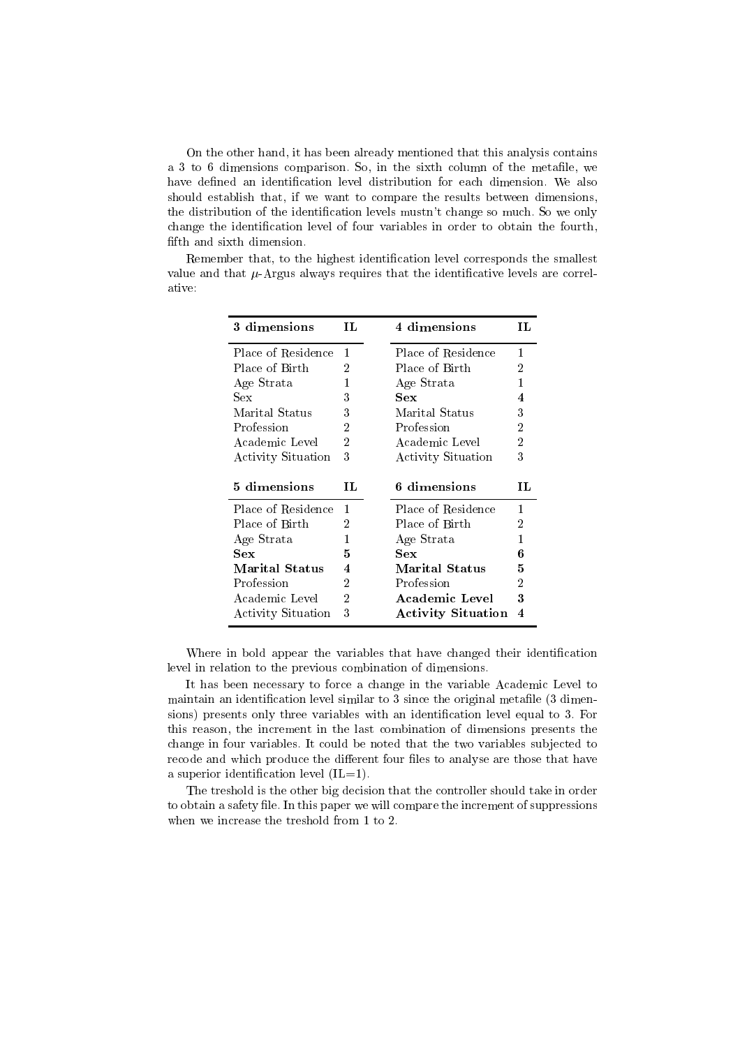On the other hand, it has been already mentioned that this analysis contains a 3 to 6 dimensions comparison. So, in the sixth column of the metale, we have defined an identification level distribution for each dimension. We also should establish that, if we want to compare the results between dimensions, the distribution of the identication levels mustn't change so much. So we only change the identication level of four variables in order to obtain the fourth, fifth and sixth dimension.

| 3 dimensions          | ПL | 4 dimensions          | TT. |
|-----------------------|----|-----------------------|-----|
| Place of Residence    | 1  | Place of Residence    | 1   |
| Place of Birth        | 2  | Place of Birth        | 2   |
| Age Strata            | 1  | Age Strata            | 1   |
| Sex                   | 3  | Sex                   | 4   |
| Marital Status        | 3  | Marital Status        | 3   |
| Profession            | 2  | Profession            | 2   |
| Academic Level        | 2  | Academic Level        | 2   |
| Activity Situation    | 3  | Activity Situation    | 3   |
|                       |    |                       |     |
| 5 dimensions          | ΙL | 6 dimensions          | ΙL  |
| Place of Residence    | 1  | Place of Residence    | 1   |
| Place of Birth        | 2  | Place of Birth        | 2   |
| Age Strata            | 1  | Age Strata            | 1   |
| Sex                   | 5  | Sex                   | 6   |
| <b>Marital Status</b> | 4  | <b>Marital Status</b> | 5   |
| Profession            | 2  | Profession            | 2   |
| Academic Level        | 2  | Academic Level        | 3   |

Remember that, to the highest identification level corresponds the smallest value and that  $\mu$ -Argus always requires that the identificative levels are correlative:

Where in bold appear the variables that have changed their identification level in relation to the previous combination of dimensions.

It has been necessary to force a change in the variable Academic Level to maintain an identification level similar to 3 since the original metafile (3 dimensions) presents only three variables with an identification level equal to 3. For this reason, the increment in the last combination of dimensions presents the change in four variables. It could be noted that the two variables sub jected to recode and which produce the different four files to analyse are those that have a superior identification level  $(IL=1)$ .

The treshold is the other big decision that the controller should take in order to obtain a safety file. In this paper we will compare the increment of suppressions when we increase the treshold from 1 to 2.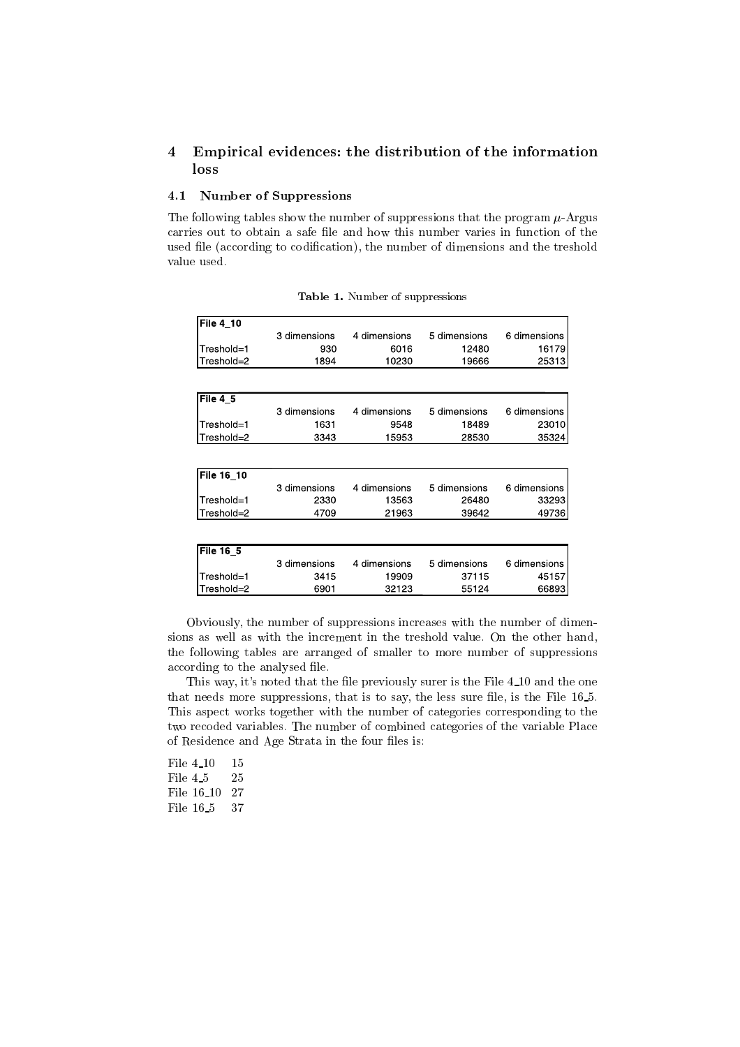## 4 Empirical evidences: the distribution of the information loss

## 4.1 Number of Suppressions

The following tables show the number of suppressions that the program  $\mu$ -Argus carries out to obtain a safe file and how this number varies in function of the used file (according to codification), the number of dimensions and the treshold value used.

| File 4_10   |              |              |              |              |
|-------------|--------------|--------------|--------------|--------------|
|             | 3 dimensions | 4 dimensions | 5 dimensions | 6 dimensions |
| Treshold=1  | 930          | 6016         | 12480        | 16179        |
| Treshold=2  | 1894         | 10230        | 19666        | 25313        |
|             |              |              |              |              |
| File 4 5    |              |              |              |              |
|             | 3 dimensions | 4 dimensions | 5 dimensions | 6 dimensions |
| Treshold=1  | 1631         | 9548         | 18489        | 23010        |
| Treshold=2  | 3343         | 15953        | 28530        | 35324        |
|             |              |              |              |              |
| File 16 10  |              |              |              |              |
|             | 3 dimensions | 4 dimensions | 5 dimensions | 6 dimensions |
| Treshold=1  | 2330         | 13563        | 26480        | 33293        |
| Treshold=2  | 4709         | 21963        | 39642        | 49736        |
|             |              |              |              |              |
| File $16_5$ |              |              |              |              |
|             | 3 dimensions | 4 dimensions | 5 dimensions | 6 dimensions |
| Treshold=1  | 3415         | 19909        | 37115        | 45157        |
| Treshold=2  | 6901         | 32123        | 55124        | 66893        |

Table 1. Number of suppressions

Obviously, the number of suppressions increases with the number of dimensions as well as with the increment in the treshold value. On the other hand, the following tables are arranged of smaller to more number of suppressions according to the analysed file.

This way, it's noted that the file previously surer is the File 4.10 and the one that needs more suppressions, that is to say, the less sure file, is the File 16.5. This aspect works together with the number of categories corresponding to the two recoded variables. The number of combined categories of the variable Place of Residence and Age Strata in the four files is:

File 4 <sup>10</sup> <sup>15</sup> File 4.5 25 File 16 10 27 File 16.5 37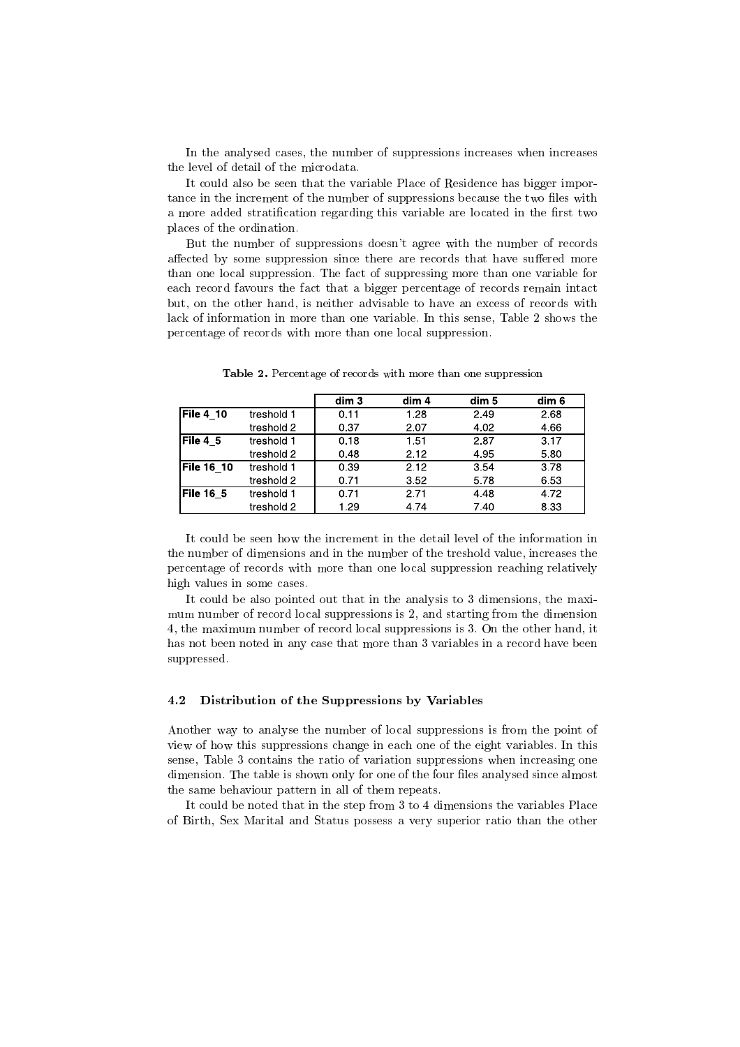In the analysed cases, the number of suppressions increases when increases the level of detail of the microdata.

It could also be seen that the variable Place of Residence has bigger importance in the increment of the number of suppressions because the two files with a more added stratification regarding this variable are located in the first two places of the ordination.

But the number of suppressions doesn't agree with the number of records affected by some suppression since there are records that have suffered more than one local suppression. The fact of suppressing more than one variable for each record favours the fact that a bigger percentage of records remain intact but, on the other hand, is neither advisable to have an excess of records with lack of information in more than one variable. In this sense, Table 2 shows the percentage of records with more than one local suppression.

|            |            | dim <sub>3</sub> | dim 4 | dim 5 | dim 6 |
|------------|------------|------------------|-------|-------|-------|
| File 4 10  | treshold 1 | 0.11             | 1.28  | 2.49  | 2.68  |
|            | treshold 2 | 0.37             | 2.07  | 4.02  | 4.66  |
| File 4 5   | treshold 1 | 0.18             | 1.51  | 2.87  | 3.17  |
|            | treshold 2 | 0.48             | 2.12  | 4 9 5 | 5.80  |
| File 16 10 | treshold 1 | 0.39             | 2.12  | 3.54  | 3.78  |
|            | treshold 2 | 0.71             | 3.52  | 578   | 6.53  |
| File 16_5  | treshold 1 | 0.71             | 2.71  | 4.48  | 472   |
|            | treshold 2 | 1.29             | 4.74  | 7.40  | 8.33  |

Table 2. Percentage of records with more than one suppression

It could be seen how the increment in the detail level of the information in the number of dimensions and in the number of the treshold value, increases the percentage of records with more than one local suppression reaching relatively high values in some cases.

It could be also pointed out that in the analysis to 3 dimensions, the maxi mum number of record local suppressions is 2, and starting from the dimension 4, the maximum number of record local suppressions is 3. On the other hand, it has not been noted in any case that more than 3 variables in a record have been suppressed.

#### 4.2 Distribution of the Suppressions by Variables

Another way to analyse the number of local suppressions is from the point of view of how this suppressions change in each one of the eight variables. In this sense, Table 3 contains the ratio of variation suppressions when increasing one dimension. The table is shown only for one of the four files analysed since almost the same behaviour pattern in all of them repeats.

It could be noted that in the step from 3 to 4 dimensions the variables Place of Birth, Sex Marital and Status possess a very superior ratio than the other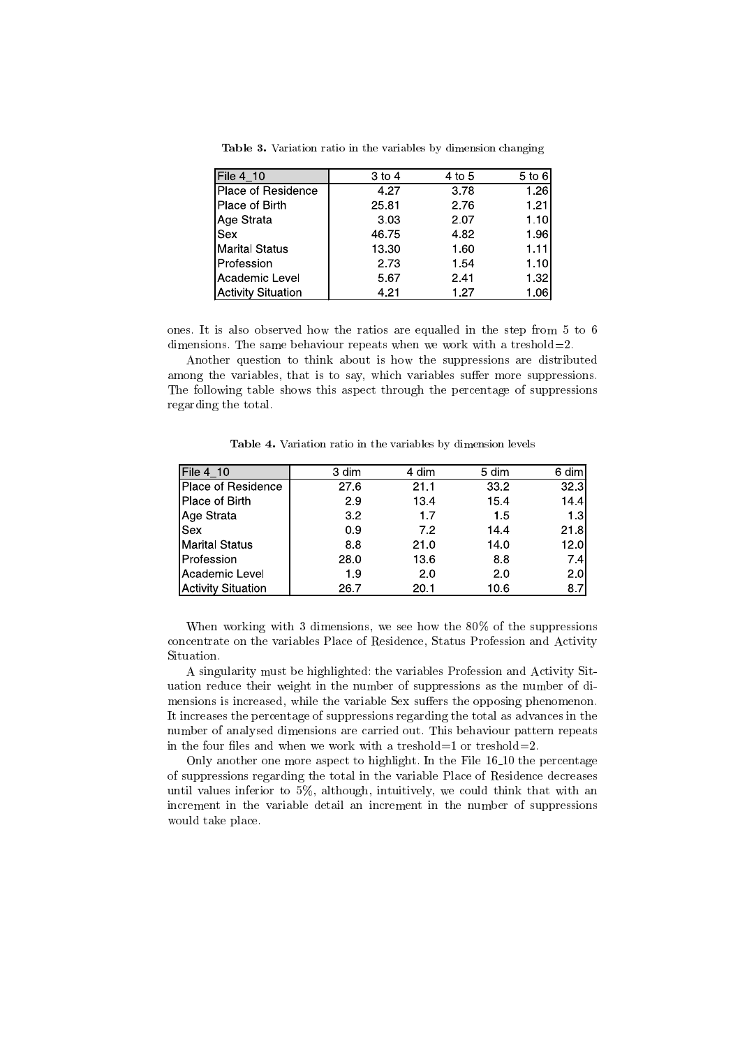| File 4 10                 | $3$ to 4 | 4 to 5 | 5 to 6 |
|---------------------------|----------|--------|--------|
| Place of Residence        | 4.27     | 3.78   | 126    |
| Place of Birth            | 25.81    | 2.76   | 121    |
| Age Strata                | 3.03     | 2.07   | 1.10   |
| <b>Sex</b>                | 46.75    | 4.82   | 1.96I  |
| <b>Marital Status</b>     | 13.30    | 1.60   | 1.11   |
| Profession                | 2.73     | 1.54   | 110    |
| Academic Level            | 5.67     | 2.41   | 1.32   |
| <b>Activity Situation</b> | 4.21     | 1.27   | 1.06   |

Table 3. Variation ratio in the variables by dimension changing

ones. It is also observed how the ratios are equalled in the step from 5 to 6 dimensions. The same behaviour repeats when we work with a treshold=2.

Another question to think about is how the suppressions are distributed among the variables, that is to say, which variables suffer more suppressions. The following table shows this aspect through the percentage of suppressions regarding the total.

| File 4_10                 | 3 dim | 4 dim | 5 dim | 6 dim |
|---------------------------|-------|-------|-------|-------|
| Place of Residence        | 27.6  | 21.1  | 332   | 32.3  |
| Place of Birth            | 29    | 13.4  | 154   | 14.4  |
| Age Strata                | 3.2   | 1.7   | 15    | 1.3   |
| Sex                       | 09    | 7.2   | 144   | 21.8  |
| <b>Marital Status</b>     | 8.8   | 21.0  | 14.0  | 12.0  |
| Profession                | 28.0  | 13.6  | 8.8   | 7.4   |
| Academic Level            | 19    | 2.0   | 2.0   | 2.0   |
| <b>Activity Situation</b> | 26.7  | 20.1  | 10.6  | 8.7   |

Table 4. Variation ratio in the variables by dimension levels

When working with 3 dimensions, we see how the 80% of the suppressions concentrate on the variables Place of Residence, Status Profession and Activity Situation.

A singularity must be highlighted: the variables Profession and Activity Situation reduce their weight in the number of suppressions as the number of dimensions is increased, while the variable Sex suffers the opposing phenomenon. It increases the percentage of suppressions regarding the total as advances in the number of analysed dimensions are carried out. This behaviour pattern repeats in the four files and when we work with a treshold=1 or treshold=2.

Only another one more aspect to highlight. In the File 16 10 the percentage of suppressions regarding the total in the variable Place of Residence decreases until values inferior to 5%, although, intuitively, we could think that with an increment in the variable detail an increment in the number of suppressions would take place.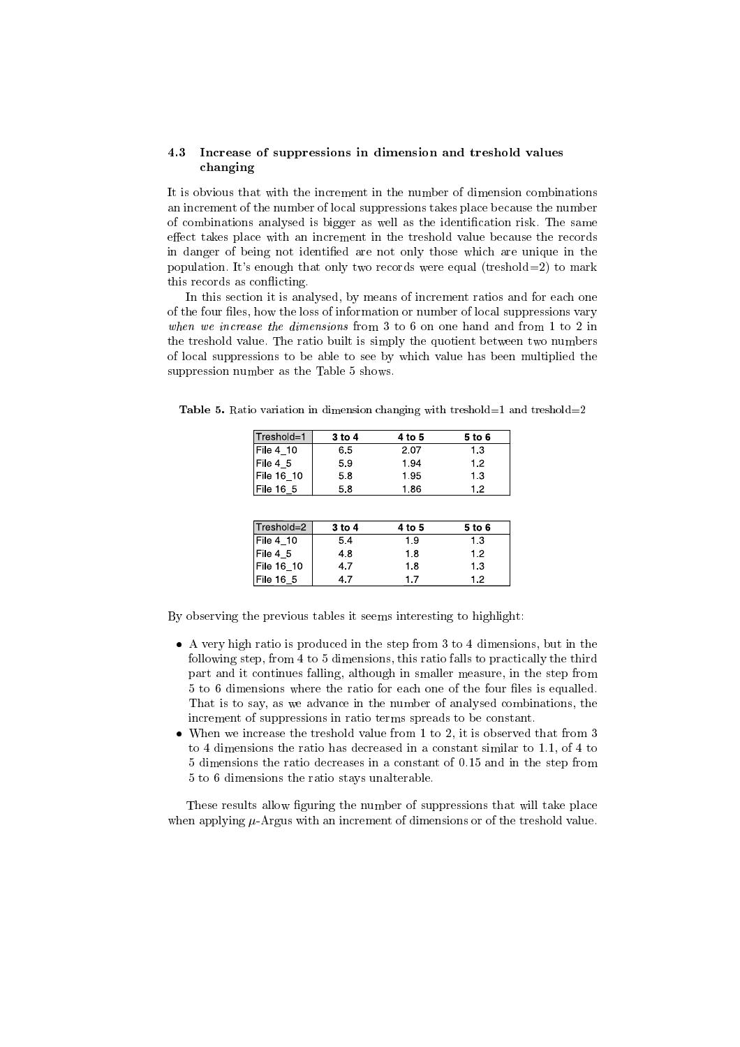#### 4.3 Increase of suppressions in dimension and treshold values changing

It is obvious that with the increment in the number of dimension combinations an increment of the number of local suppressions takes place because the number of combinations analysed is bigger as well as the identication risk. The same effect takes place with an increment in the treshold value because the records in danger of being not identied are not only those which are unique in the population. It's enough that only two records were equal (treshold=2) to mark this records as con
icting.

In this section it is analysed, by means of increment ratios and for each one of the four files, how the loss of information or number of local suppressions vary when we increase the dimensions from 3 to 6 on one hand and from 1 to 2 in the treshold value. The ratio built is simply the quotient between two numbers of local suppressions to be able to see by which value has been multiplied the suppression number as the Table 5 shows.

**Table 5.** Ratio variation in dimension changing with treshold=1 and treshold=2

| Treshold=1 | 3 to 4     | 4 to 5 | 5 to 6 |
|------------|------------|--------|--------|
| File 4 10  | 6.5        | 2.07   | 13     |
| File 4 5   | 5.9        | 1.94   | 1.2    |
| File 16 10 | 5.8        | 1.95   | 1.3    |
| File 16_5  | 5.8        | 1.86   | 1.2    |
|            |            |        |        |
| Treshold=2 | $3$ to $4$ | 4 to 5 | 5 to 6 |
| File 4 10  | 54         | 1.9    | 13     |
| File 4 5   | 48         | 1.8    | 1.2    |
| File 16 10 | 47         | 1.8    | 13     |
| File 16 5  | 4.7        | 1.7    | 1.2    |

By observing the previous tables it seems interesting to highlight:

- A very high ratio is produced in the step from 3 to 4 dimensions, but in the following step, from 4 to 5 dimensions, this ratio falls to practically the third part and it continues falling, although in smaller measure, in the step from 5 to 6 dimensions where the ratio for each one of the four files is equalled. That is to say, as we advance in the number of analysed combinations, the increment of suppressions in ratio terms spreads to be constant.
- When we increase the treshold value from 1 to 2, it is observed that from 3 to 4 dimensions the ratio has decreased in a constant similar to 1.1, of 4 to 5 dimensions the ratio decreases in a constant of 0.15 and in the step from 5 to 6 dimensions the ratio stays unalterable.

These results allow figuring the number of suppressions that will take place when applying  $\mu$ -Argus with an increment of dimensions or of the treshold value.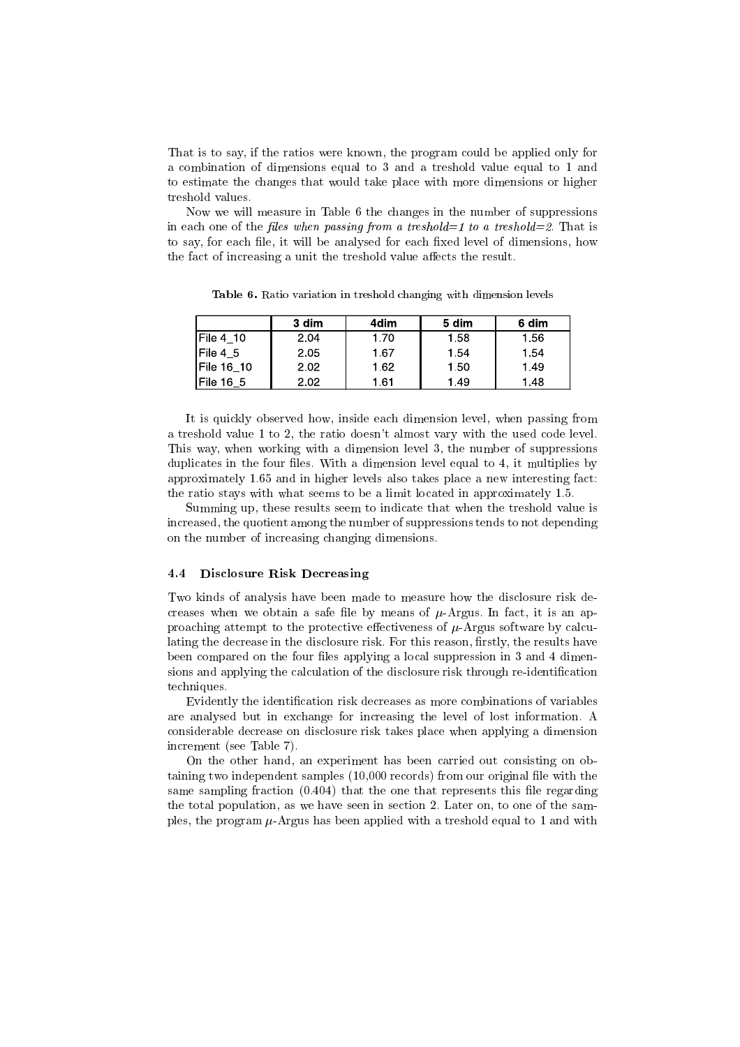That is to say, if the ratios were known, the program could be applied only for a combination of dimensions equal to 3 and a treshold value equal to 1 and to estimate the changes that would take place with more dimensions or higher treshold values.

Now we will measure in Table 6 the changes in the number of suppressions in each one of the files when passing from a treshold  $=1$  to a treshold  $=2$ . That is to say, for each file, it will be analysed for each fixed level of dimensions, how the fact of increasing a unit the treshold value affects the result.

|                   | 3 dim | 4dim | 5 dim | 6 dim |
|-------------------|-------|------|-------|-------|
| IFile 4 10        | 2.04  | 1.70 | 1.58  | 1.56  |
| $File 4_5$        | 2.05  | 1.67 | 1.54  | 1.54  |
| <b>File 16_10</b> | 2.02  | 1.62 | 1.50  | 1.49  |
| File 16_5         | 2.02  | l 61 | 1.49  | 1.48  |

Table 6. Ratio variation in treshold changing with dimension levels

It is quickly observed how, inside each dimension level, when passing from a treshold value 1 to 2, the ratio doesn't almost vary with the used code level. This way, when working with a dimension level 3, the number of suppressions duplicates in the four files. With a dimension level equal to 4, it multiplies by approximately 1.65 and in higher levels also takes place a new interesting fact: the ratio stays with what seems to be a limit located in approximately 1.5.

Summing up, these results seem to indicate that when the treshold value is increased, the quotient among the number of suppressions tends to not depending on the number of increasing changing dimensions.

#### 4.4 Disclosure Risk Decreasing

Two kinds of analysis have been made to measure how the disclosure risk decreases when we obtain a safe file by means of  $\mu$ -Argus. In fact, it is an approaching attempt to the protective effectiveness of  $\mu$ -Argus software by calculating the decrease in the disclosure risk. For this reason, firstly, the results have been compared on the four files applying a local suppression in 3 and 4 dimensions and applying the calculation of the disclosure risk through re-identification techniques.

Evidently the identication risk decreases as more combinations of variables are analysed but in exchange for increasing the level of lost information. A considerable decrease on disclosure risk takes place when applying a dimension increment (see Table 7).

On the other hand, an experiment has been carried out consisting on obtaining two independent samples (10,000 records) from our original file with the same sampling fraction  $(0.404)$  that the one that represents this file regarding the total population, as we have seen in section 2. Later on, to one of the samples, the program  $\mu$ -Argus has been applied with a treshold equal to 1 and with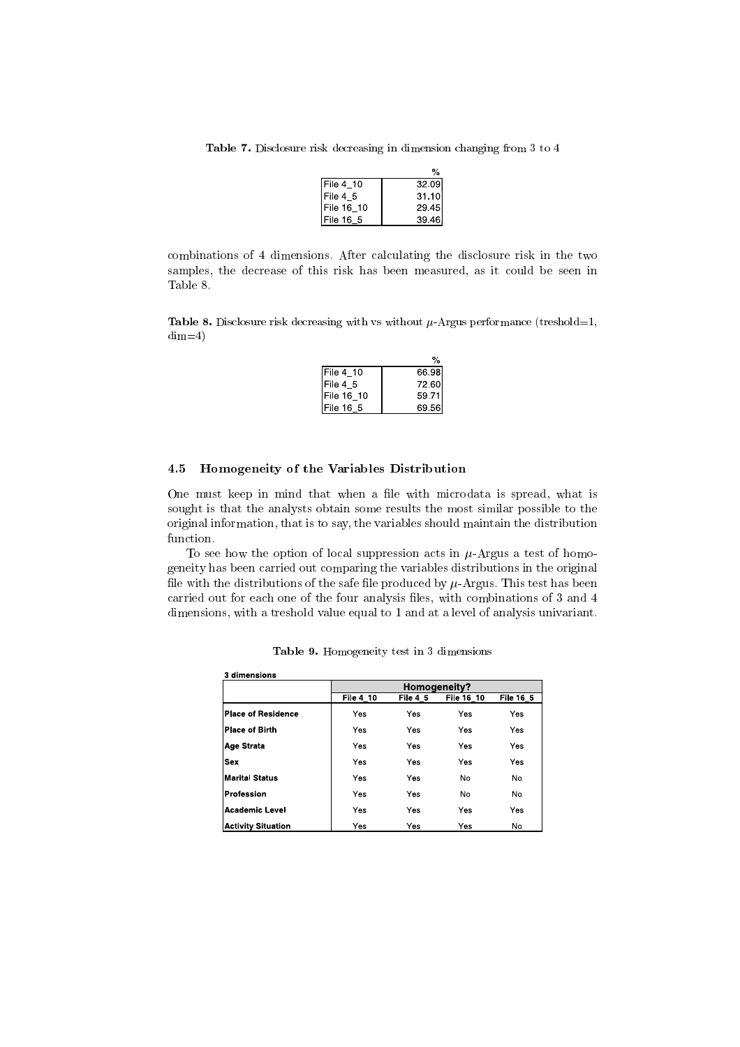Table 7. Disclosure risk decreasing in dimension changing from 3 to 4

| File 4_10  | 32.09 |
|------------|-------|
| File 4 5   | 31.10 |
| File 16 10 | 29.45 |
| File 16 5  | 39.46 |

combinations of 4 dimensions. After calculating the disclosure risk in the two samples, the decrease of this risk has been measured, as it could be seen in Table 8.

Table 8. Disclosure risk decreasing with vs without  $\mu$ -Argus performance (treshold=1,  $dim=4$ )

| $File 4_10$ | 66.98 |
|-------------|-------|
| File 4 5    | 72.60 |
| File 16 10  | 59 71 |
| IFile 16 5  | 69.56 |

### 4.5 Homogeneity of the Variables Distribution

One must keep in mind that when a file with microdata is spread, what is sought is that the analysts obtain some results the most similar possible to the original information, that is to say, the variables should maintain the distribution function.

To see how the option of local suppression acts in  $\mu$ -Argus a test of homogeneity has been carried out comparing the variables distributions in the original file with the distributions of the safe file produced by  $\mu$ -Argus. This test has been carried out for each one of the four analysis files, with combinations of 3 and 4 dimensions, with a treshold value equal to 1 and at a level of analysis univariant.

| 3 dimensions              |           |              |            |           |  |  |
|---------------------------|-----------|--------------|------------|-----------|--|--|
|                           |           | Homogeneity? |            |           |  |  |
|                           | File 4 10 | File 4 5     | File 16 10 | File 16 5 |  |  |
| <b>Place of Residence</b> | Yes       | Yes          | Yes        | Yes       |  |  |
| <b>Place of Birth</b>     | Yes       | Yes          | Yes        | Yes       |  |  |
| Age Strata                | Yes       | Yes          | Yes        | Yes       |  |  |
| <b>Sex</b>                | Yes       | Yes          | Yes        | Yes       |  |  |
| <b>Marital Status</b>     | Yes       | Yes          | No         | <b>No</b> |  |  |
| Profession                | Yes       | Yes          | No         | <b>No</b> |  |  |
| <b>Academic Level</b>     | Yes       | Yes          | Yes        | Yes       |  |  |
| <b>Activity Situation</b> | Yes       | Yes          | Yes        | <b>No</b> |  |  |

Table 9. Homogeneity test in 3 dimensions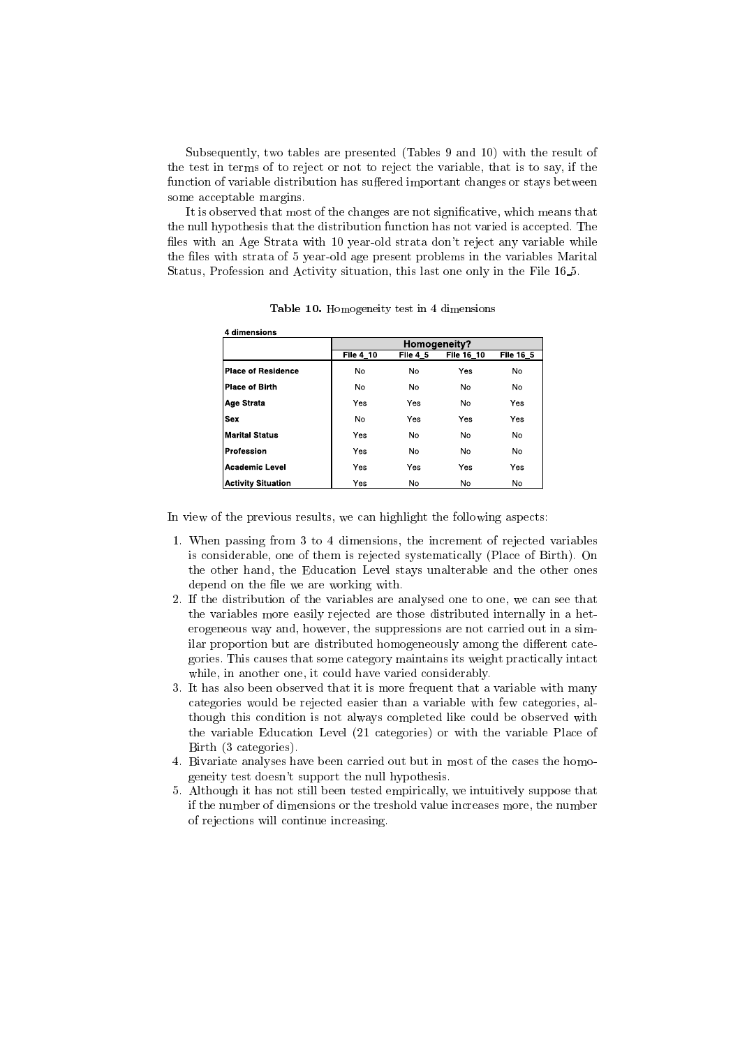Subsequently, two tables are presented (Tables 9 and 10) with the result of the test in terms of to reject or not to reject the variable, that is to say, if the function of variable distribution has suffered important changes or stays between some acceptable margins.

It is observed that most of the changes are not signicative, which means that the null hypothesis that the distribution function has not varied is accepted. The files with an Age Strata with 10 year-old strata don't reject any variable while the files with strata of 5 year-old age present problems in the variables Marital Status, Profession and Activity situation, this last one only in the File 16 5.

| 4 dimensions              |                  |                |            |                |  |  |
|---------------------------|------------------|----------------|------------|----------------|--|--|
|                           |                  | Homogeneity?   |            |                |  |  |
|                           | <b>File 4 10</b> | File 4 5       | File 16 10 | File 16 5      |  |  |
| Place of Residence        | No               | N <sub>o</sub> | Yes        | N <sub>o</sub> |  |  |
| <b>Place of Birth</b>     | No               | No             | <b>No</b>  | <b>No</b>      |  |  |
| <b>Age Strata</b>         | Yes              | Yes            | No         | Yes            |  |  |
| <b>Sex</b>                | No               | Yes            | Yes        | Yes            |  |  |
| <b>Marital Status</b>     | Yes              | No             | No         | No             |  |  |
| Profession                | Yes              | <b>No</b>      | No         | N <sub>o</sub> |  |  |
| <b>Academic Level</b>     | Yes              | Yes            | Yes        | Yes            |  |  |
| <b>Activity Situation</b> | Yes              | No             | No         | No             |  |  |

Table 10. Homogeneity test in 4 dimensions

In view of the previous results, we can highlight the following aspects:

- 1. When passing from 3 to 4 dimensions, the increment of rejected variables is considerable, one of them is rejected systematically (Place of Birth). On the other hand, the Education Level stays unalterable and the other ones depend on the file we are working with.
- 2. If the distribution of the variables are analysed one to one, we can see that the variables more easily rejected are those distributed internally in a heterogeneous way and, however, the suppressions are not carried out in a similar proportion but are distributed homogeneously among the different categories. This causes that some category maintains its weight practically intact while, in another one, it could have varied considerably.
- 3. It has also been observed that it is more frequent that a variable with many categories would be rejected easier than a variable with few categories, although this condition is not always completed like could be observed with the variable Education Level (21 categories) or with the variable Place of Birth (3 categories).
- 4. Bivariate analyses have been carried out but in most of the cases the homogeneity test doesn't support the null hypothesis.
- 5. Although it has not still been tested empirically, we intuitively suppose that if the number of dimensions or the treshold value increases more, the number of rejections will continue increasing.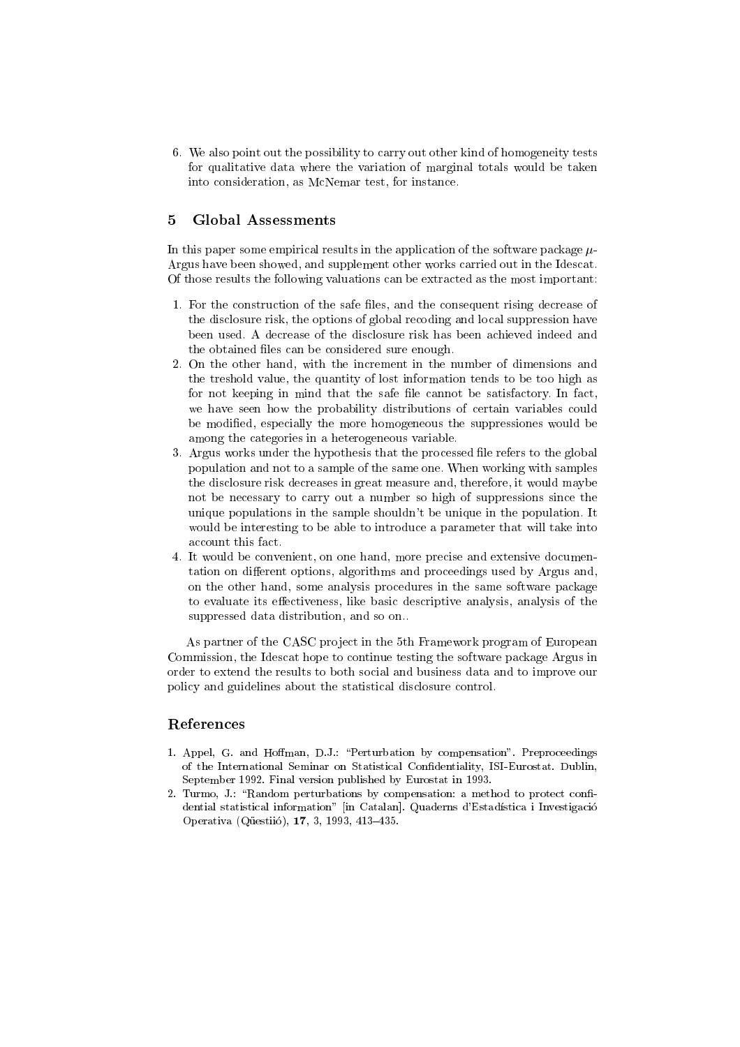6. We also point out the possibility to carry out other kind of homogeneity tests for qualitative data where the variation of marginal totals would be taken into consideration, as McNemar test, for instance.

#### $\overline{5}$ **Global Assessments**

In this paper some empirical results in the application of the software package  $\mu$ -Argus have been showed, and supplement other works carried out in the Idescat. Of those results the following valuations can be extracted as the most important:

- 1. For the construction of the safe files, and the consequent rising decrease of the disclosure risk, the options of global recoding and local suppression have been used. A decrease of the disclosure risk has been achieved indeed and the obtained files can be considered sure enough.  $t_{\rm th}$
- 2. On the other hand, with the increment in the number of dimensions and the treshold value, the quantity of lost information tends to be too high as for not keeping in mind that the safe file cannot be satisfactory. In fact, we have seen how the probability distributions of certain variables could be modied, especially the more homogeneous the suppressiones would be among the categories in a heterogeneous variable.
- 3. Argus works under the hypothesis that the processed file refers to the global population and not to a sample of the same one. When working with samples the disclosure risk decreases in great measure and, therefore, it would maybe not be necessary to carry out a number so high of suppressions since the unique populations in the sample shouldn't be unique in the population. It would be interesting to be able to introduce a parameter that will take into
- 4. It would be convenient, on one hand, more precise and extensive documentation on different options, algorithms and proceedings used by Argus and, on the other hand, some analysis procedures in the same software package to evaluate its effectiveness, like basic descriptive analysis, analysis of the suppressed data distribution, and so on..

As partner of the CASC project in the 5th Framework program of European Commission, the Idescat hope to continue testing the software package Argus in order to extend the results to both social and business data and to improve our policy and guidelines about the statistical disclosure control.

## References

- 1. Appel, G. and Hoffman, D.J.: "Perturbation by compensation". Preproceedings of the International Seminar on Statistical Condentiality, ISI-Eurostat. Dublin, September 1992. Final version published by Eurostat in 1993.
- 2. Turmo, J.: "Random perturbations by compensation: a method to protect confidential statistical information" [in Catalan]. Quaderns d'Estadística i Investigació Operativa (Qüestiió), 17, 3, 1993, 413-435.